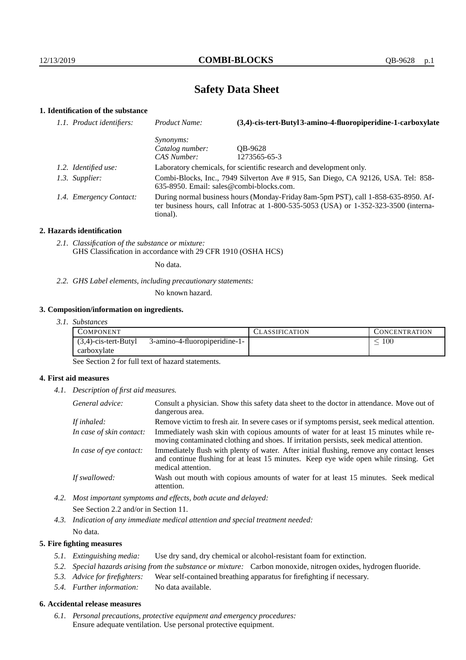# **Safety Data Sheet**

# **1. Identification of the substance**

| 1.1. Product identifiers: | Product Name:                                                                                                                                                                               | (3,4)-cis-tert-Butyl 3-amino-4-fluoropiperidine-1-carboxylate       |
|---------------------------|---------------------------------------------------------------------------------------------------------------------------------------------------------------------------------------------|---------------------------------------------------------------------|
|                           | <i>Synonyms:</i>                                                                                                                                                                            |                                                                     |
|                           | Catalog number:                                                                                                                                                                             | OB-9628                                                             |
|                           | CAS Number:                                                                                                                                                                                 | 1273565-65-3                                                        |
| 1.2. Identified use:      |                                                                                                                                                                                             | Laboratory chemicals, for scientific research and development only. |
| 1.3. Supplier:            | Combi-Blocks, Inc., 7949 Silverton Ave # 915, San Diego, CA 92126, USA. Tel: 858-<br>$635-8950$ . Email: sales@combi-blocks.com.                                                            |                                                                     |
| 1.4. Emergency Contact:   | During normal business hours (Monday-Friday 8am-5pm PST), call 1-858-635-8950. Af-<br>ter business hours, call Infotrac at $1-800-535-5053$ (USA) or $1-352-323-3500$ (interna-<br>tional). |                                                                     |

#### **2. Hazards identification**

*2.1. Classification of the substance or mixture:* GHS Classification in accordance with 29 CFR 1910 (OSHA HCS)

No data.

*2.2. GHS Label elements, including precautionary statements:*

No known hazard.

#### **3. Composition/information on ingredients.**

*3.1. Substances*

| COMPONENT               |                               | CLASSIFICATION | CONCENTRATION. |
|-------------------------|-------------------------------|----------------|----------------|
| $(3,4)$ -cis-tert-Butyl | 3-amino-4-fluoropiperidine-1- |                | 100            |
| carboxylate             |                               |                |                |

See Section 2 for full text of hazard statements.

## **4. First aid measures**

*4.1. Description of first aid measures.*

| General advice:          | Consult a physician. Show this safety data sheet to the doctor in attendance. Move out of<br>dangerous area.                                                                                            |
|--------------------------|---------------------------------------------------------------------------------------------------------------------------------------------------------------------------------------------------------|
| If inhaled:              | Remove victim to fresh air. In severe cases or if symptoms persist, seek medical attention.                                                                                                             |
| In case of skin contact: | Immediately wash skin with copious amounts of water for at least 15 minutes while re-<br>moving contaminated clothing and shoes. If irritation persists, seek medical attention.                        |
| In case of eye contact:  | Immediately flush with plenty of water. After initial flushing, remove any contact lenses<br>and continue flushing for at least 15 minutes. Keep eye wide open while rinsing. Get<br>medical attention. |
| If swallowed:            | Wash out mouth with copious amounts of water for at least 15 minutes. Seek medical<br>attention.                                                                                                        |

*4.2. Most important symptoms and effects, both acute and delayed:* See Section 2.2 and/or in Section 11.

*4.3. Indication of any immediate medical attention and special treatment needed:* No data.

## **5. Fire fighting measures**

- *5.1. Extinguishing media:* Use dry sand, dry chemical or alcohol-resistant foam for extinction.
- *5.2. Special hazards arising from the substance or mixture:* Carbon monoxide, nitrogen oxides, hydrogen fluoride.
- *5.3. Advice for firefighters:* Wear self-contained breathing apparatus for firefighting if necessary.
- *5.4. Further information:* No data available.

# **6. Accidental release measures**

*6.1. Personal precautions, protective equipment and emergency procedures:* Ensure adequate ventilation. Use personal protective equipment.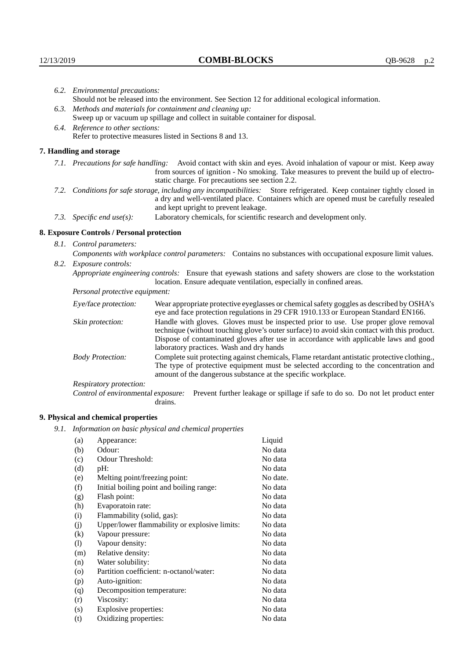|                           | 6.2. Environmental precautions:                                                                                                                                                        |                                                                                                                                                                                                                                                                    |  |  |
|---------------------------|----------------------------------------------------------------------------------------------------------------------------------------------------------------------------------------|--------------------------------------------------------------------------------------------------------------------------------------------------------------------------------------------------------------------------------------------------------------------|--|--|
|                           | Should not be released into the environment. See Section 12 for additional ecological information.                                                                                     |                                                                                                                                                                                                                                                                    |  |  |
|                           | 6.3. Methods and materials for containment and cleaning up:                                                                                                                            |                                                                                                                                                                                                                                                                    |  |  |
|                           | Sweep up or vacuum up spillage and collect in suitable container for disposal.                                                                                                         |                                                                                                                                                                                                                                                                    |  |  |
|                           | 6.4. Reference to other sections:                                                                                                                                                      |                                                                                                                                                                                                                                                                    |  |  |
|                           |                                                                                                                                                                                        | Refer to protective measures listed in Sections 8 and 13.                                                                                                                                                                                                          |  |  |
|                           | 7. Handling and storage                                                                                                                                                                |                                                                                                                                                                                                                                                                    |  |  |
|                           |                                                                                                                                                                                        | 7.1. Precautions for safe handling: Avoid contact with skin and eyes. Avoid inhalation of vapour or mist. Keep away<br>from sources of ignition - No smoking. Take measures to prevent the build up of electro-<br>static charge. For precautions see section 2.2. |  |  |
|                           |                                                                                                                                                                                        | 7.2. Conditions for safe storage, including any incompatibilities: Store refrigerated. Keep container tightly closed in<br>a dry and well-ventilated place. Containers which are opened must be carefully resealed<br>and kept upright to prevent leakage.         |  |  |
| 7.3. Specific end use(s): |                                                                                                                                                                                        | Laboratory chemicals, for scientific research and development only.                                                                                                                                                                                                |  |  |
|                           | 8. Exposure Controls / Personal protection                                                                                                                                             |                                                                                                                                                                                                                                                                    |  |  |
|                           | 8.1. Control parameters:                                                                                                                                                               |                                                                                                                                                                                                                                                                    |  |  |
|                           |                                                                                                                                                                                        | Components with workplace control parameters: Contains no substances with occupational exposure limit values.                                                                                                                                                      |  |  |
|                           | 8.2. Exposure controls:                                                                                                                                                                |                                                                                                                                                                                                                                                                    |  |  |
|                           | Appropriate engineering controls: Ensure that eyewash stations and safety showers are close to the workstation<br>location. Ensure adequate ventilation, especially in confined areas. |                                                                                                                                                                                                                                                                    |  |  |
|                           | Personal protective equipment:                                                                                                                                                         |                                                                                                                                                                                                                                                                    |  |  |
|                           | Eye/face protection:                                                                                                                                                                   | Wear appropriate protective eyeglasses or chemical safety goggles as described by OSHA's<br>eye and face protection regulations in 29 CFR 1910.133 or European Standard EN166.                                                                                     |  |  |
|                           | Skin protection:                                                                                                                                                                       | Handle with gloves. Gloves must be inspected prior to use. Use proper glove removal<br>technique (without touching glove's outer surface) to avoid skin contact with this product.                                                                                 |  |  |

| Eye/face protection:                                                                    | Wear appropriate protective eyeglasses or chemical safety goggles as described by OSHA's<br>eye and face protection regulations in 29 CFR 1910.133 or European Standard EN166.                                                                                                                                         |                                                                                                                                                                                      |  |
|-----------------------------------------------------------------------------------------|------------------------------------------------------------------------------------------------------------------------------------------------------------------------------------------------------------------------------------------------------------------------------------------------------------------------|--------------------------------------------------------------------------------------------------------------------------------------------------------------------------------------|--|
| Skin protection:                                                                        | Handle with gloves. Gloves must be inspected prior to use. Use proper glove removal<br>technique (without touching glove's outer surface) to avoid skin contact with this product.<br>Dispose of contaminated gloves after use in accordance with applicable laws and good<br>laboratory practices. Wash and dry hands |                                                                                                                                                                                      |  |
| <b>Body Protection:</b><br>amount of the dangerous substance at the specific workplace. |                                                                                                                                                                                                                                                                                                                        | Complete suit protecting against chemicals, Flame retardant antistatic protective clothing.,<br>The type of protective equipment must be selected according to the concentration and |  |
| Respiratory protection:                                                                 |                                                                                                                                                                                                                                                                                                                        |                                                                                                                                                                                      |  |
| Control of environmental exposure:<br>drains.                                           |                                                                                                                                                                                                                                                                                                                        | Prevent further leakage or spillage if safe to do so. Do not let product enter                                                                                                       |  |

# **9. Physical and chemical properties**

*9.1. Information on basic physical and chemical properties*

| (a)                | Appearance:                                   | Liquid   |
|--------------------|-----------------------------------------------|----------|
| (b)                | Odour:                                        | No data  |
| (c)                | Odour Threshold:                              | No data  |
| (d)                | pH:                                           | No data  |
| (e)                | Melting point/freezing point:                 | No date. |
| (f)                | Initial boiling point and boiling range:      | No data  |
| (g)                | Flash point:                                  | No data  |
| (h)                | Evaporatoin rate:                             | No data  |
| (i)                | Flammability (solid, gas):                    | No data  |
| (j)                | Upper/lower flammability or explosive limits: | No data  |
| $\rm(k)$           | Vapour pressure:                              | No data  |
| (1)                | Vapour density:                               | No data  |
| (m)                | Relative density:                             | No data  |
| (n)                | Water solubility:                             | No data  |
| $\left( 0 \right)$ | Partition coefficient: n-octanol/water:       | No data  |
| (p)                | Auto-ignition:                                | No data  |
| (q)                | Decomposition temperature:                    | No data  |
| (r)                | Viscosity:                                    | No data  |
| (s)                | Explosive properties:                         | No data  |
| (t)                | Oxidizing properties:                         | No data  |